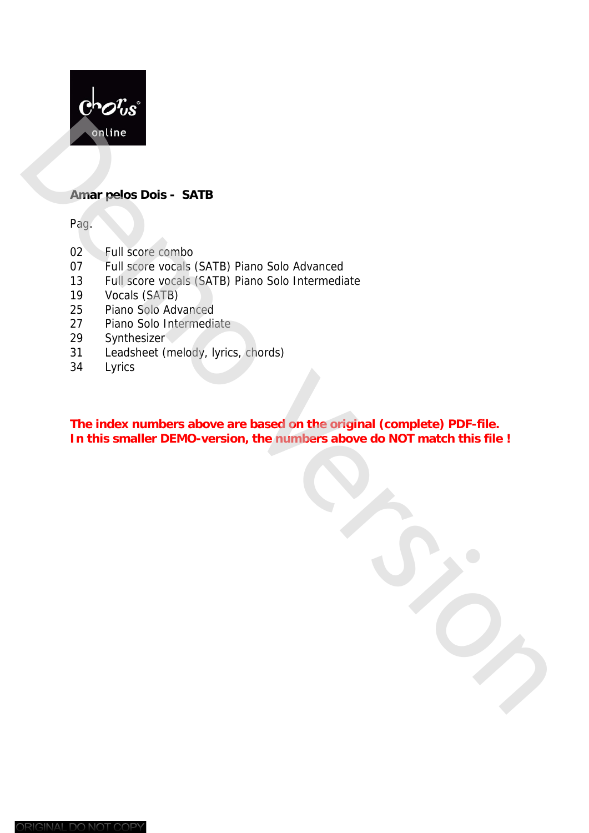

#### **Amar pelos Dois - SATB**

Pag.

- 02 Full score combo
- 07 Full score vocals (SATB) Piano Solo Advanced
- 13 Full score vocals (SATB) Piano Solo Intermediate
- 19 Vocals (SATB)
- 25 Piano Solo Advanced
- 27 Piano Solo Intermediate
- 29 Synthesizer
- 31 Leadsheet (melody, lyrics, chords)
- 34 Lyrics

**The index numbers above are based on the original (complete) PDF-file. In this smaller Condition**<br> **In this smaller condition**<br> **IDEMON CONTIFICATED**<br> **IDEMONATION**<br> **IDEMONATION**<br> **IDEMONATION**<br> **IDEMONATION**<br> **IDEMONATION**<br> **IDEMONATION**<br> **IDEMONATION**<br> **IDEMONATION**<br> **IDEMONATION**<br> **IDEMO**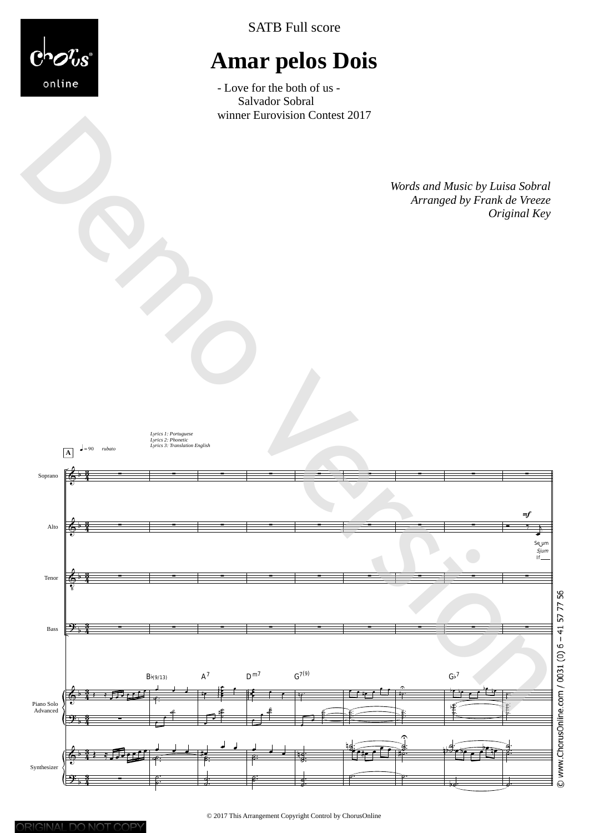

SATB Full score

# **Amar pelos Dois**

- Love for the both of us - Salvador Sobral<br>winner Eurovision Contest 2017

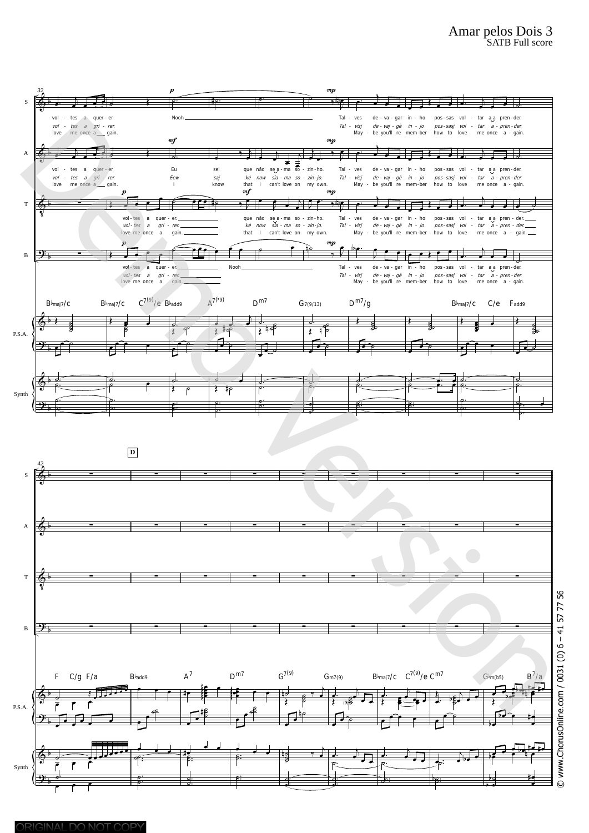



**<del>。 </del><br>↑** 

œ œ ˙˙

œ œ ˙ ˙ ˙ #

ے<br>مقصد<br>ص €

<u>↓ </u><br><sup>β:</sup>

 $\overline{\phantom{a}}$ n˙

 $(b)$  $\Box$ 

 $\overline{P}$ .  $\overline{P}$   $\overline{P}$   $\overline{P}$   $\overline{P}$   $\overline{P}$   $\overline{P}$ 

 $\frac{1}{2}$ 

 $\epsilon$   $\epsilon$   $\epsilon$ 

<sup>œ</sup> <sup>œ</sup> ˙

bœ

˙ ˙ b

 $\overline{b}$   $\rightarrow$ œ #

<sup>œ</sup> <sup>œ</sup> <sup>œ</sup> bœ #œ #œ bœ <sup>œ</sup> <sup>n</sup> <sup>œ</sup>

œ #

b 2<br>b 2

. . ˙ ˙b

 $\frac{1}{\overline{c}}$ 

. . ˙  $\frac{6}{9}$ 

˙ ˙ ˙  $\frac{1}{2}$   $\frac{1}{2}$ œ

.  $\frac{1}{2}$ ˙

. ˙ ˙.

#œ <sup>œ</sup> <sup>œ</sup> . . ˙ ˙ . . ˙ ˙

<u>de de .</u><br>९ः .<br>م . . ˙ ˙

?

P.S.A.

Synth

b

 $\overline{r}$  $\Box$ 

 $\overline{r}$ ˙. .<br>م م م

b

b

&

9: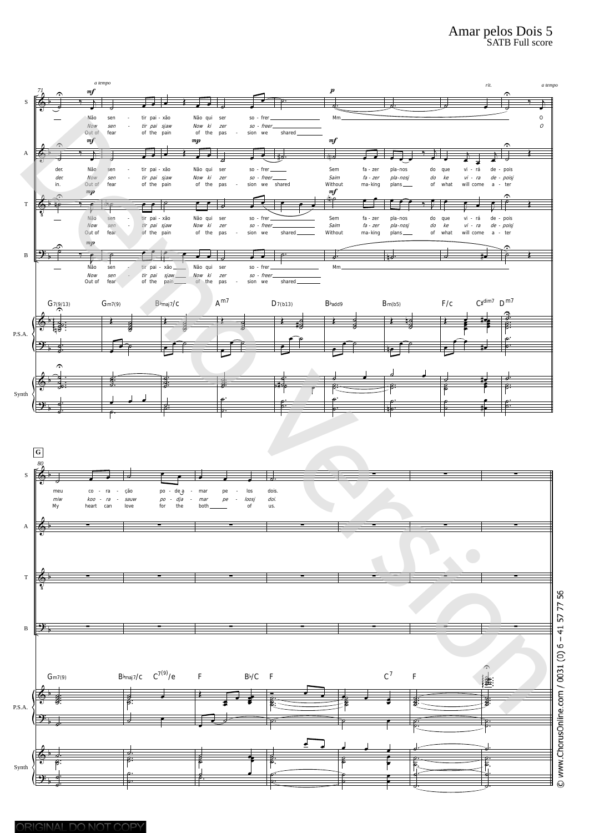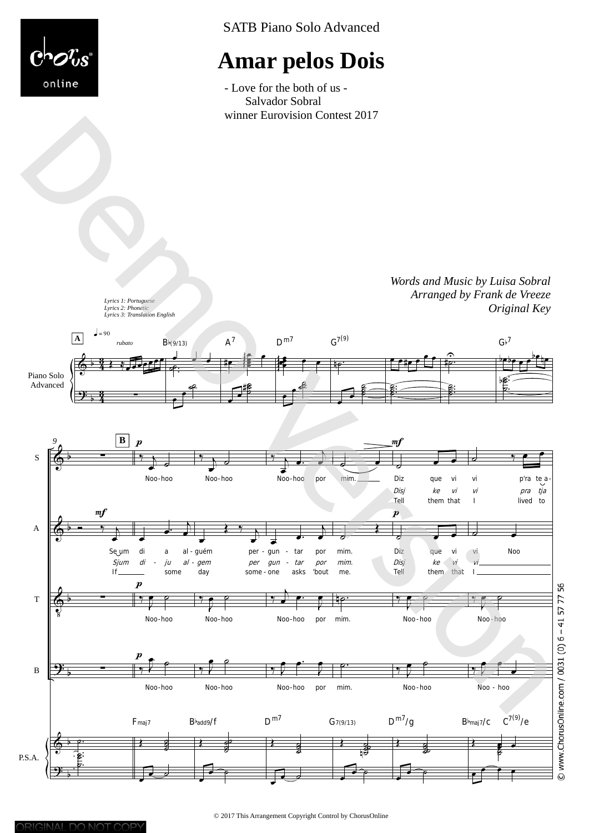

SATB Piano Solo Advanced

# **Amar pelos Dois**

- Love for the both of us - Salvador Sobral





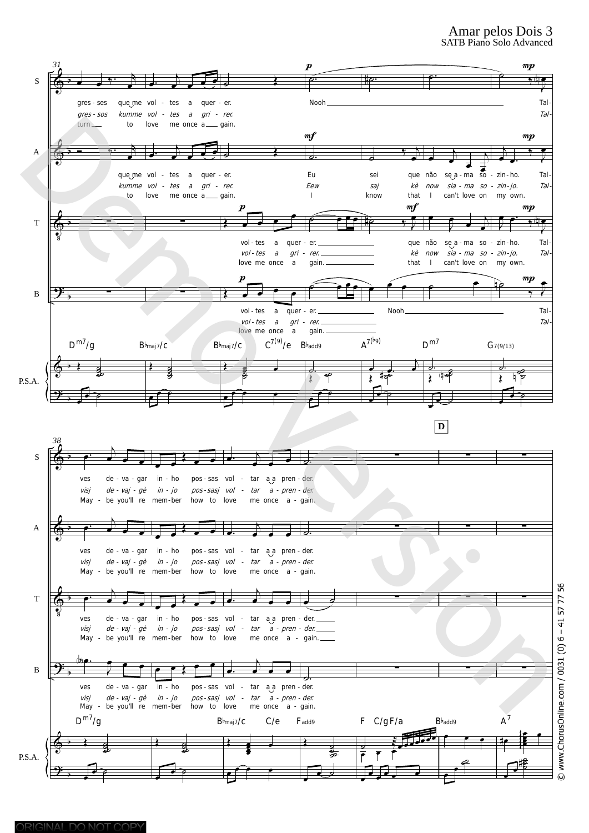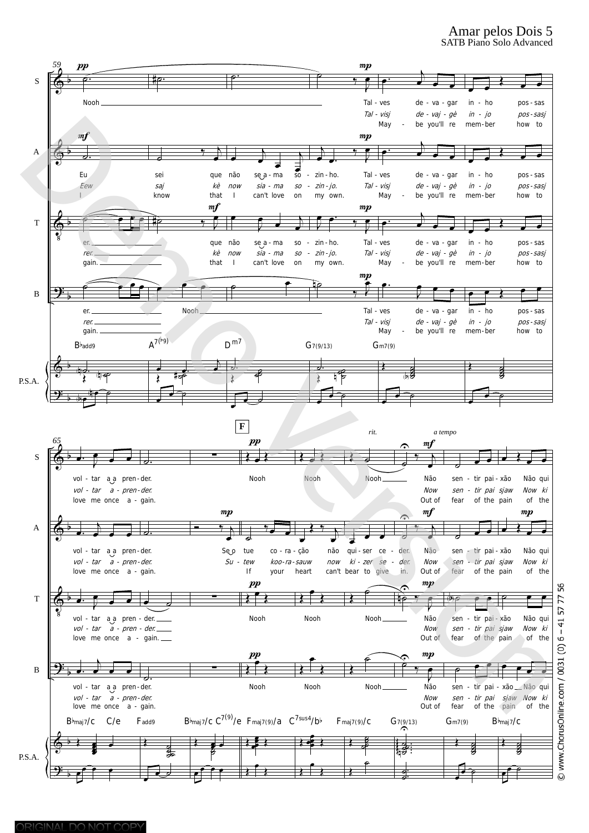#### Amar pelos Dois 5 SATB Piano Solo Advanced



77  $5^{\circ}$  $-41$ ف  $\widehat{e}$ © www.ChorusOnline.com / 0031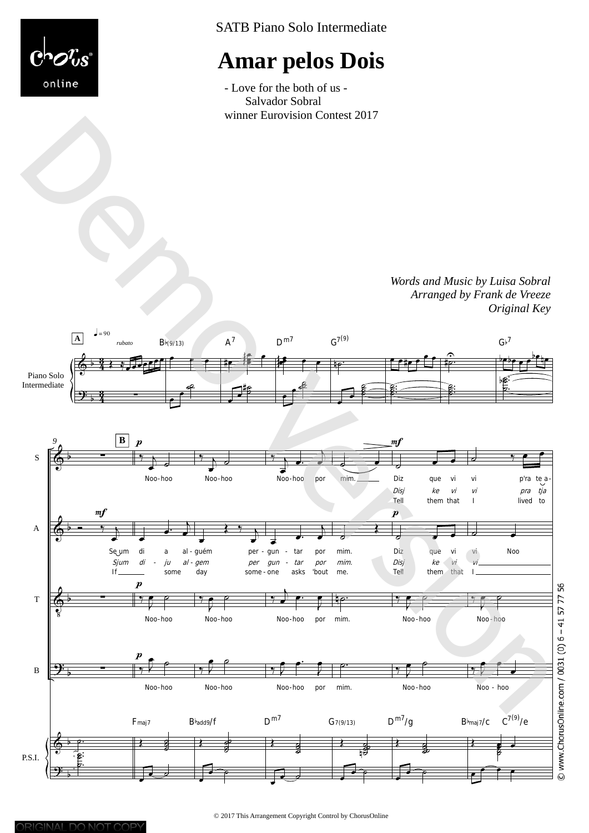

SATB Piano Solo Intermediate

# **Amar pelos Dois**

- Love for the both of us - Salvador Sobral



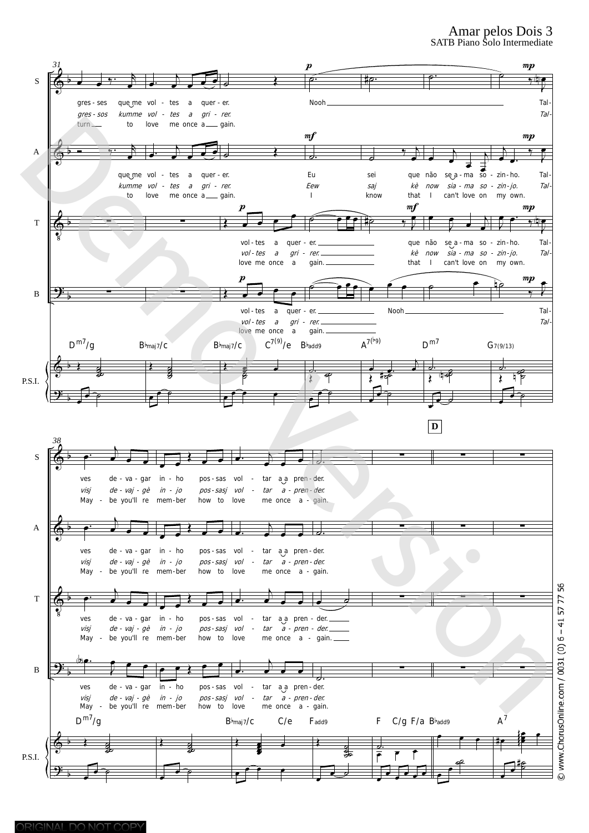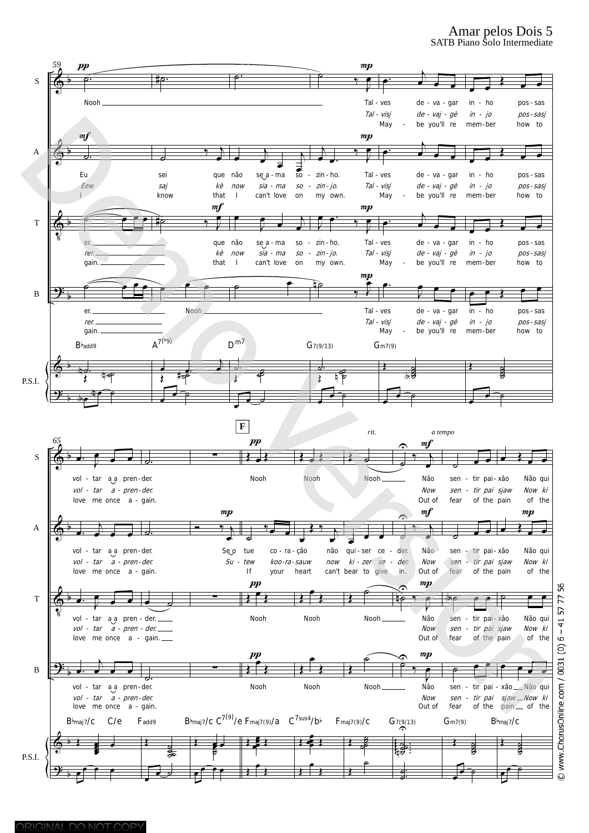#### Amar pelos Dois 5 SATB Piano Solo Intermediate

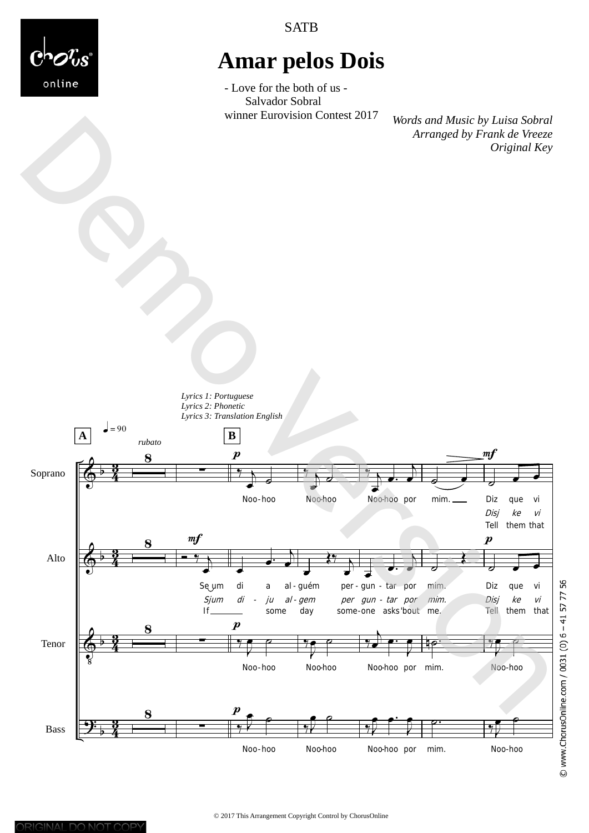**SATB** 



## **Amar pelos Dois**

- Love for the both of us - Salvador Sobral

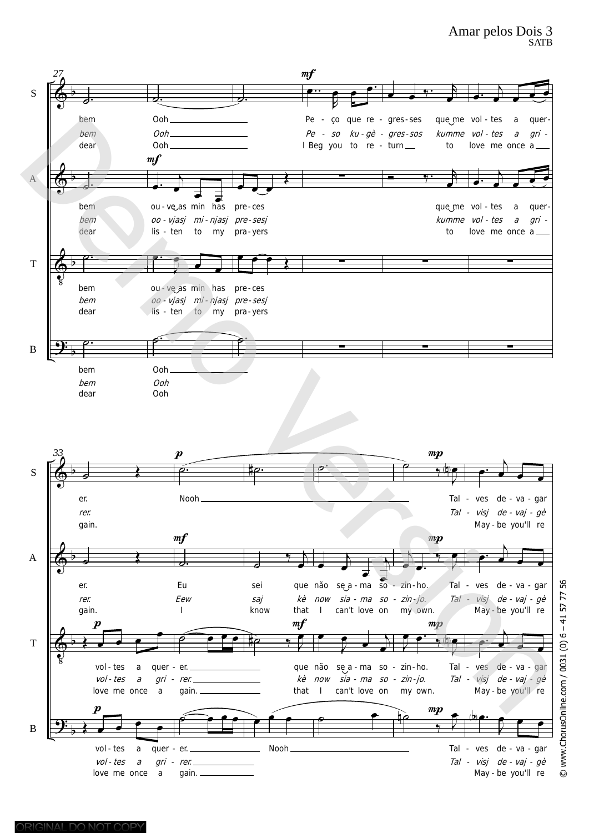

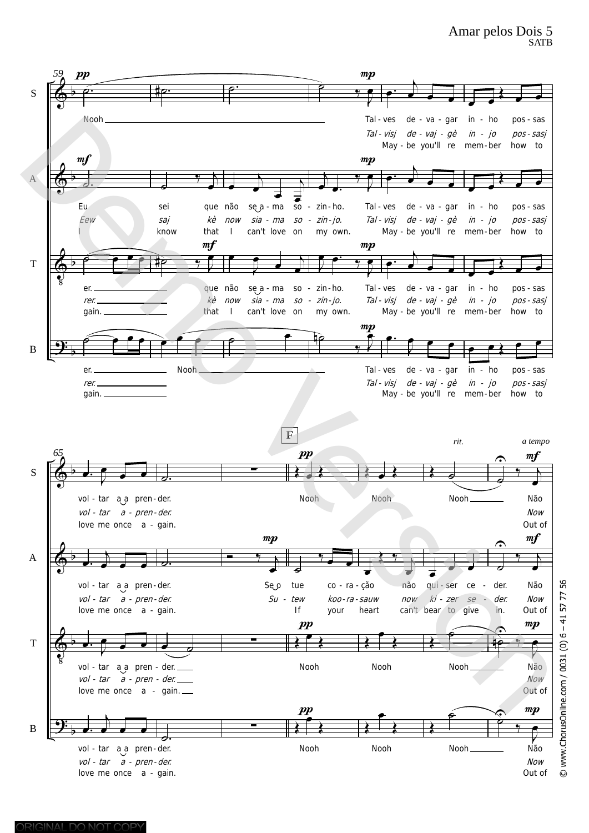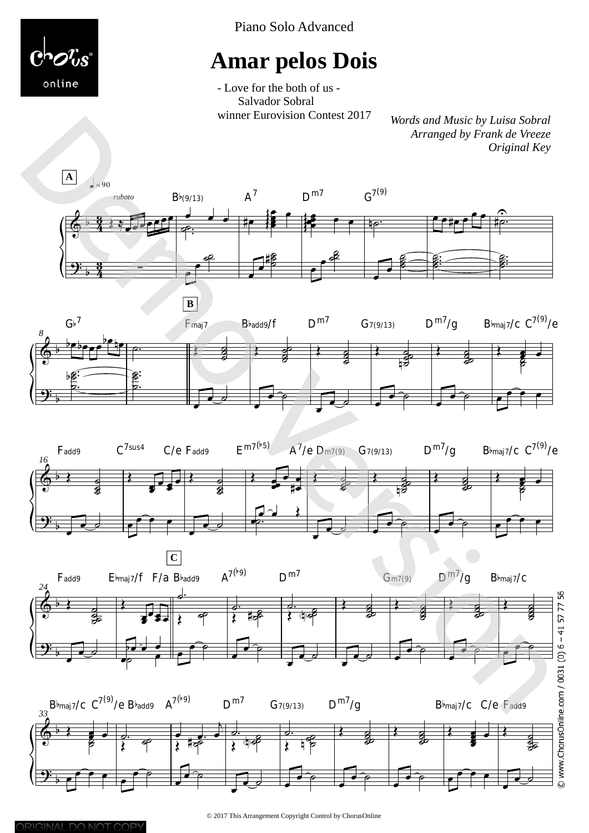

Piano Solo Advanced

## **Amar pelos Dois**

- Love for the both of us - Salvador Sobral









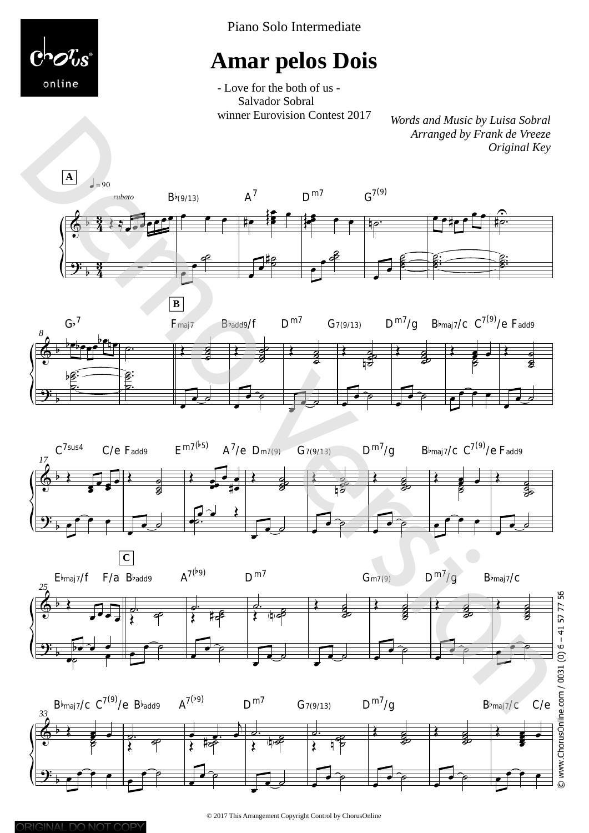

Piano Solo Intermediate

## **Amar pelos Dois**

- Love for the both of us - Salvador Sobral









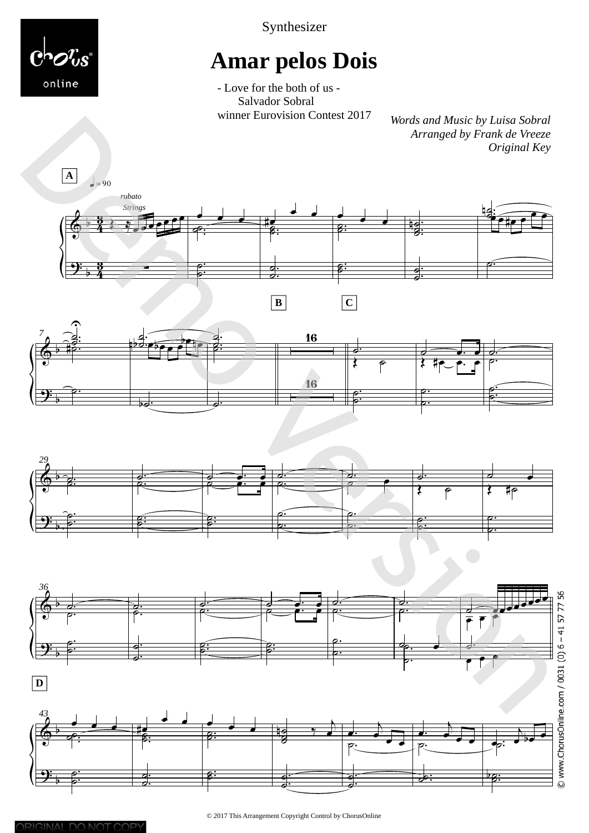

Synthesizer

# **Amar pelos Dois**

- Love for the both of us - Salvador Sobral<br>winner Eurovision Contest 2017

*Words and Music by Luisa Sobral Arranged by Frank de Vreeze Original Key* 









م⊤م<br>ا

.

 $\frac{a}{b}$ 

b

 $\frac{1}{2}$ 

 $\frac{1}{2}$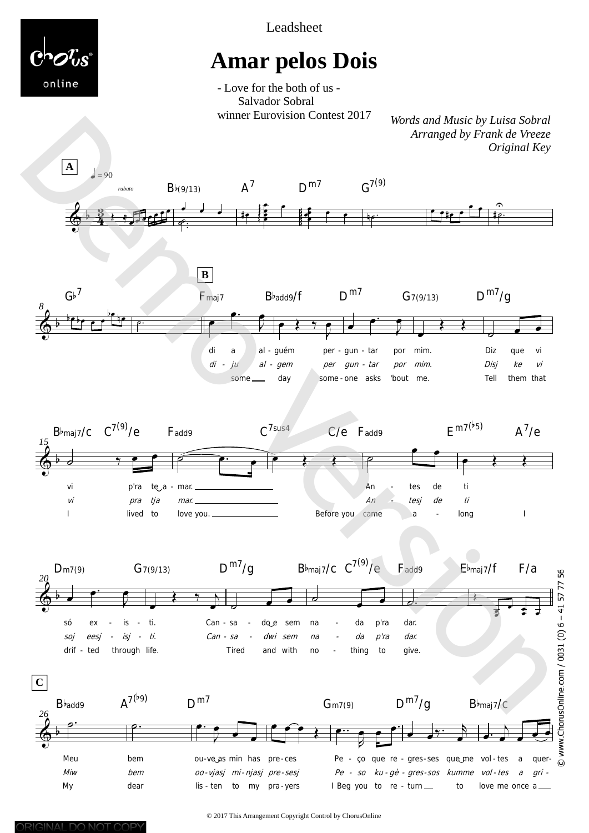

Leadsheet

# **Amar pelos Dois**

- Love for the both of us -Salvador Sobral winner Eurovision Contest 2017

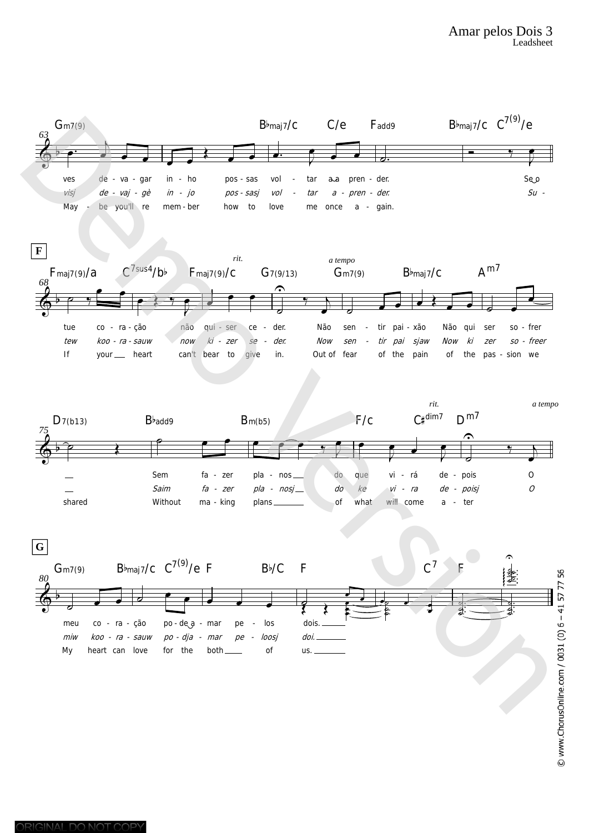